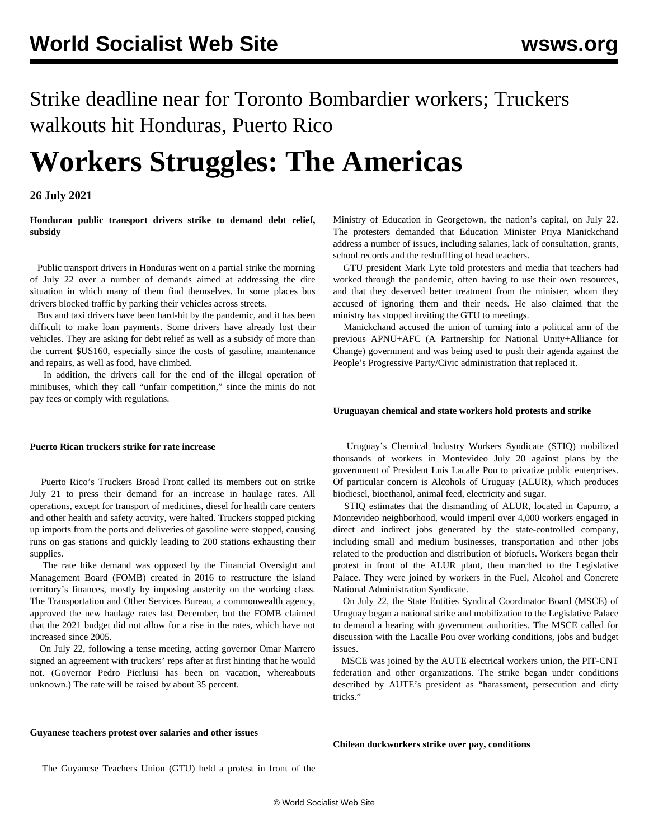Strike deadline near for Toronto Bombardier workers; Truckers walkouts hit Honduras, Puerto Rico

# **Workers Struggles: The Americas**

# **26 July 2021**

**Honduran public transport drivers strike to demand debt relief, subsidy**

 Public transport drivers in Honduras went on a partial strike the morning of July 22 over a number of demands aimed at addressing the dire situation in which many of them find themselves. In some places bus drivers blocked traffic by parking their vehicles across streets.

 Bus and taxi drivers have been hard-hit by the pandemic, and it has been difficult to make loan payments. Some drivers have already lost their vehicles. They are asking for debt relief as well as a subsidy of more than the current \$US160, especially since the costs of gasoline, maintenance and repairs, as well as food, have climbed.

 In addition, the drivers call for the end of the illegal operation of minibuses, which they call "unfair competition," since the minis do not pay fees or comply with regulations.

# **Puerto Rican truckers strike for rate increase**

 Puerto Rico's Truckers Broad Front called its members out on strike July 21 to press their demand for an increase in haulage rates. All operations, except for transport of medicines, diesel for health care centers and other health and safety activity, were halted. Truckers stopped picking up imports from the ports and deliveries of gasoline were stopped, causing runs on gas stations and quickly leading to 200 stations exhausting their supplies.

 The rate hike demand was opposed by the Financial Oversight and Management Board (FOMB) created in 2016 to restructure the island territory's finances, mostly by imposing austerity on the working class. The Transportation and Other Services Bureau, a commonwealth agency, approved the new haulage rates last December, but the FOMB claimed that the 2021 budget did not allow for a rise in the rates, which have not increased since 2005.

 On July 22, following a tense meeting, acting governor Omar Marrero signed an agreement with truckers' reps after at first hinting that he would not. (Governor Pedro Pierluisi has been on vacation, whereabouts unknown.) The rate will be raised by about 35 percent.

Ministry of Education in Georgetown, the nation's capital, on July 22. The protesters demanded that Education Minister Priya Manickchand address a number of issues, including salaries, lack of consultation, grants, school records and the reshuffling of head teachers.

 GTU president Mark Lyte told protesters and media that teachers had worked through the pandemic, often having to use their own resources, and that they deserved better treatment from the minister, whom they accused of ignoring them and their needs. He also claimed that the ministry has stopped inviting the GTU to meetings.

 Manickchand accused the union of turning into a political arm of the previous APNU+AFC (A Partnership for National Unity+Alliance for Change) government and was being used to push their agenda against the People's Progressive Party/Civic administration that replaced it.

# **Uruguayan chemical and state workers hold protests and strike**

 Uruguay's Chemical Industry Workers Syndicate (STIQ) mobilized thousands of workers in Montevideo July 20 against plans by the government of President Luis Lacalle Pou to privatize public enterprises. Of particular concern is Alcohols of Uruguay (ALUR), which produces biodiesel, bioethanol, animal feed, electricity and sugar.

 STIQ estimates that the dismantling of ALUR, located in Capurro, a Montevideo neighborhood, would imperil over 4,000 workers engaged in direct and indirect jobs generated by the state-controlled company, including small and medium businesses, transportation and other jobs related to the production and distribution of biofuels. Workers began their protest in front of the ALUR plant, then marched to the Legislative Palace. They were joined by workers in the Fuel, Alcohol and Concrete National Administration Syndicate.

 On July 22, the State Entities Syndical Coordinator Board (MSCE) of Uruguay began a national strike and mobilization to the Legislative Palace to demand a hearing with government authorities. The MSCE called for discussion with the Lacalle Pou over working conditions, jobs and budget issues.

 MSCE was joined by the AUTE electrical workers union, the PIT-CNT federation and other organizations. The strike began under conditions described by AUTE's president as "harassment, persecution and dirty tricks."

# **Guyanese teachers protest over salaries and other issues**

**Chilean dockworkers strike over pay, conditions**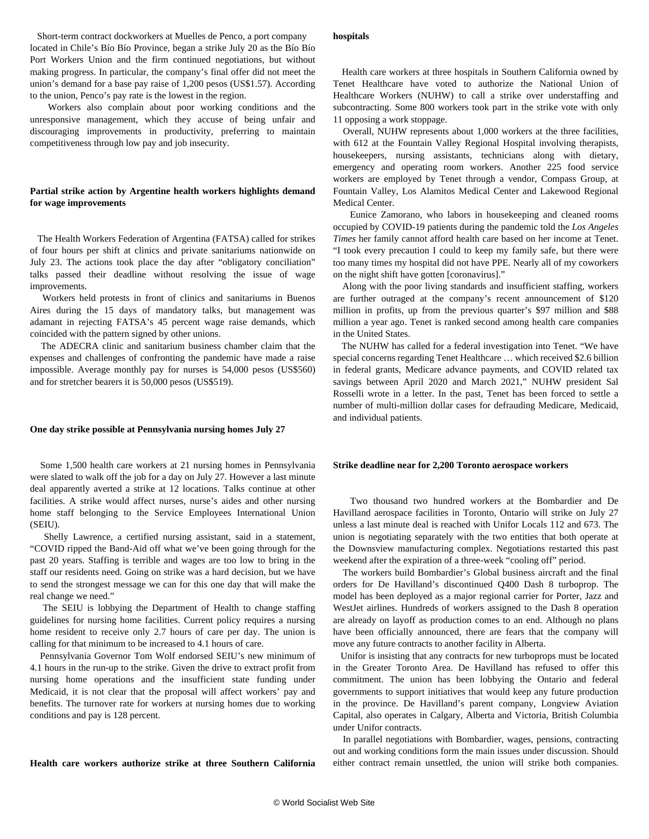Short-term contract dockworkers at Muelles de Penco, a port company located in Chile's Bío Bío Province, began a strike July 20 as the Bío Bío Port Workers Union and the firm continued negotiations, but without making progress. In particular, the company's final offer did not meet the union's demand for a base pay raise of 1,200 pesos (US\$1.57). According to the union, Penco's pay rate is the lowest in the region.

 Workers also complain about poor working conditions and the unresponsive management, which they accuse of being unfair and discouraging improvements in productivity, preferring to maintain competitiveness through low pay and job insecurity.

# **Partial strike action by Argentine health workers highlights demand for wage improvements**

 The Health Workers Federation of Argentina (FATSA) called for strikes of four hours per shift at clinics and private sanitariums nationwide on July 23. The actions took place the day after "obligatory conciliation" talks passed their deadline without resolving the issue of wage improvements.

 Workers held protests in front of clinics and sanitariums in Buenos Aires during the 15 days of mandatory talks, but management was adamant in rejecting FATSA's 45 percent wage raise demands, which coincided with the pattern signed by other unions.

 The ADECRA clinic and sanitarium business chamber claim that the expenses and challenges of confronting the pandemic have made a raise impossible. Average monthly pay for nurses is 54,000 pesos (US\$560) and for stretcher bearers it is 50,000 pesos (US\$519).

#### **One day strike possible at Pennsylvania nursing homes July 27**

 Some 1,500 health care workers at 21 nursing homes in Pennsylvania were slated to walk off the job for a day on July 27. However a last minute deal apparently averted a strike at 12 locations. Talks continue at other facilities. A strike would affect nurses, nurse's aides and other nursing home staff belonging to the Service Employees International Union (SEIU).

 Shelly Lawrence, a certified nursing assistant, said in a statement, "COVID ripped the Band-Aid off what we've been going through for the past 20 years. Staffing is terrible and wages are too low to bring in the staff our residents need. Going on strike was a hard decision, but we have to send the strongest message we can for this one day that will make the real change we need."

 The SEIU is lobbying the Department of Health to change staffing guidelines for nursing home facilities. Current policy requires a nursing home resident to receive only 2.7 hours of care per day. The union is calling for that minimum to be increased to 4.1 hours of care.

 Pennsylvania Governor Tom Wolf endorsed SEIU's new minimum of 4.1 hours in the run-up to the strike. Given the drive to extract profit from nursing home operations and the insufficient state funding under Medicaid, it is not clear that the proposal will affect workers' pay and benefits. The turnover rate for workers at nursing homes due to working conditions and pay is 128 percent.

**Health care workers authorize strike at three Southern California**

#### **hospitals**

 Health care workers at three hospitals in Southern California owned by Tenet Healthcare have voted to authorize the National Union of Healthcare Workers (NUHW) to call a strike over understaffing and subcontracting. Some 800 workers took part in the strike vote with only 11 opposing a work stoppage.

 Overall, NUHW represents about 1,000 workers at the three facilities, with 612 at the Fountain Valley Regional Hospital involving therapists, housekeepers, nursing assistants, technicians along with dietary, emergency and operating room workers. Another 225 food service workers are employed by Tenet through a vendor, Compass Group, at Fountain Valley, Los Alamitos Medical Center and Lakewood Regional Medical Center.

 Eunice Zamorano, who labors in housekeeping and cleaned rooms occupied by COVID-19 patients during the pandemic told the *Los Angeles Times* her family cannot afford health care based on her income at Tenet. "I took every precaution I could to keep my family safe, but there were too many times my hospital did not have PPE. Nearly all of my coworkers on the night shift have gotten [coronavirus]."

 Along with the poor living standards and insufficient staffing, workers are further outraged at the company's recent announcement of \$120 million in profits, up from the previous quarter's \$97 million and \$88 million a year ago. Tenet is ranked second among health care companies in the United States.

 The NUHW has called for a federal investigation into Tenet. "We have special concerns regarding Tenet Healthcare … which received \$2.6 billion in federal grants, Medicare advance payments, and COVID related tax savings between April 2020 and March 2021," NUHW president Sal Rosselli wrote in a letter. In the past, Tenet has been forced to settle a number of multi-million dollar cases for defrauding Medicare, Medicaid, and individual patients.

### **Strike deadline near for 2,200 Toronto aerospace workers**

 Two thousand two hundred workers at the Bombardier and De Havilland aerospace facilities in Toronto, Ontario will strike on July 27 unless a last minute deal is reached with Unifor Locals 112 and 673. The union is negotiating separately with the two entities that both operate at the Downsview manufacturing complex. Negotiations restarted this past weekend after the expiration of a three-week "cooling off" period.

 The workers build Bombardier's Global business aircraft and the final orders for De Havilland's discontinued Q400 Dash 8 turboprop. The model has been deployed as a major regional carrier for Porter, Jazz and WestJet airlines. Hundreds of workers assigned to the Dash 8 operation are already on layoff as production comes to an end. Although no plans have been officially announced, there are fears that the company will move any future contracts to another facility in Alberta.

 Unifor is insisting that any contracts for new turboprops must be located in the Greater Toronto Area. De Havilland has refused to offer this commitment. The union has been lobbying the Ontario and federal governments to support initiatives that would keep any future production in the province. De Havilland's parent company, Longview Aviation Capital, also operates in Calgary, Alberta and Victoria, British Columbia under Unifor contracts.

 In parallel negotiations with Bombardier, wages, pensions, contracting out and working conditions form the main issues under discussion. Should either contract remain unsettled, the union will strike both companies.